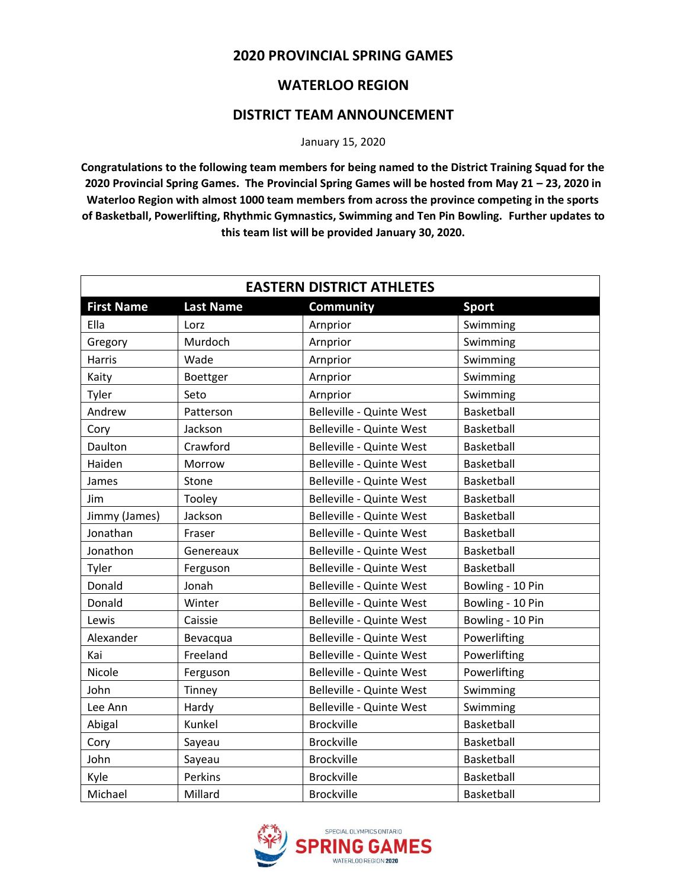## **2020 PROVINCIAL SPRING GAMES**

## **WATERLOO REGION**

## **DISTRICT TEAM ANNOUNCEMENT**

January 15, 2020

**Congratulations to the following team members for being named to the District Training Squad for the 2020 Provincial Spring Games. The Provincial Spring Games will be hosted from May 21 – 23, 2020 in Waterloo Region with almost 1000 team members from across the province competing in the sports of Basketball, Powerlifting, Rhythmic Gymnastics, Swimming and Ten Pin Bowling. Further updates to this team list will be provided January 30, 2020.**

| <b>EASTERN DISTRICT ATHLETES</b> |                  |                          |                   |
|----------------------------------|------------------|--------------------------|-------------------|
| <b>First Name</b>                | <b>Last Name</b> | <b>Community</b>         | <b>Sport</b>      |
| Ella                             | Lorz             | Arnprior                 | Swimming          |
| Gregory                          | Murdoch          | Arnprior                 | Swimming          |
| Harris                           | Wade             | Arnprior                 | Swimming          |
| Kaity                            | Boettger         | Arnprior                 | Swimming          |
| Tyler                            | Seto             | Arnprior                 | Swimming          |
| Andrew                           | Patterson        | Belleville - Quinte West | Basketball        |
| Cory                             | Jackson          | Belleville - Quinte West | <b>Basketball</b> |
| Daulton                          | Crawford         | Belleville - Quinte West | Basketball        |
| Haiden                           | Morrow           | Belleville - Quinte West | Basketball        |
| James                            | Stone            | Belleville - Quinte West | Basketball        |
| Jim                              | Tooley           | Belleville - Quinte West | Basketball        |
| Jimmy (James)                    | Jackson          | Belleville - Quinte West | Basketball        |
| Jonathan                         | Fraser           | Belleville - Quinte West | Basketball        |
| Jonathon                         | Genereaux        | Belleville - Quinte West | Basketball        |
| Tyler                            | Ferguson         | Belleville - Quinte West | Basketball        |
| Donald                           | Jonah            | Belleville - Quinte West | Bowling - 10 Pin  |
| Donald                           | Winter           | Belleville - Quinte West | Bowling - 10 Pin  |
| Lewis                            | Caissie          | Belleville - Quinte West | Bowling - 10 Pin  |
| Alexander                        | Bevacqua         | Belleville - Quinte West | Powerlifting      |
| Kai                              | Freeland         | Belleville - Quinte West | Powerlifting      |
| Nicole                           | Ferguson         | Belleville - Quinte West | Powerlifting      |
| John                             | Tinney           | Belleville - Quinte West | Swimming          |
| Lee Ann                          | Hardy            | Belleville - Quinte West | Swimming          |
| Abigal                           | Kunkel           | <b>Brockville</b>        | Basketball        |
| Cory                             | Sayeau           | <b>Brockville</b>        | Basketball        |
| John                             | Sayeau           | <b>Brockville</b>        | Basketball        |
| Kyle                             | Perkins          | <b>Brockville</b>        | Basketball        |
| Michael                          | Millard          | <b>Brockville</b>        | Basketball        |

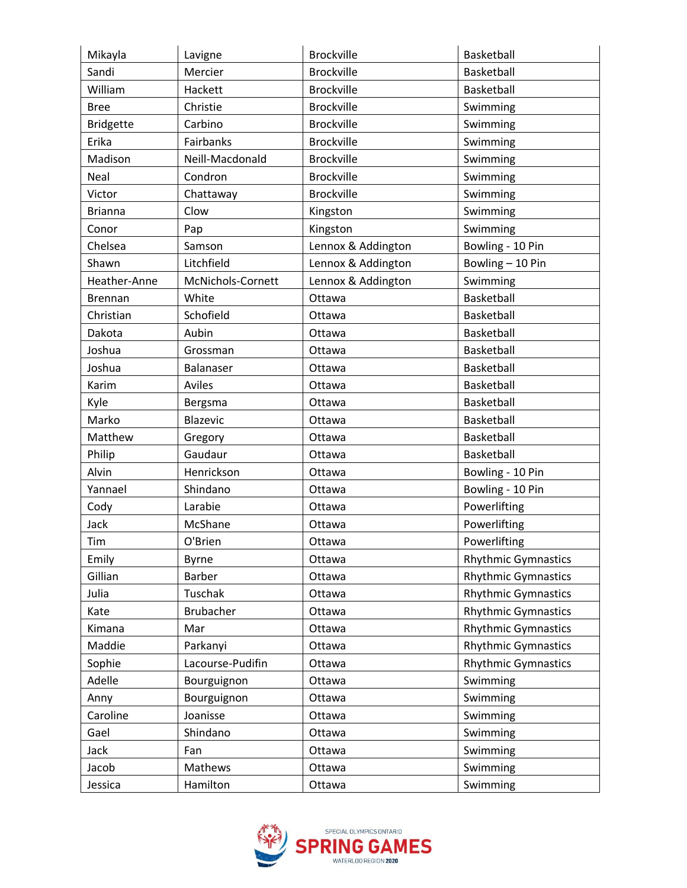| Mikayla          | Lavigne           | <b>Brockville</b>  | Basketball                 |
|------------------|-------------------|--------------------|----------------------------|
| Sandi            | Mercier           | <b>Brockville</b>  | Basketball                 |
| William          | Hackett           | <b>Brockville</b>  | Basketball                 |
| <b>Bree</b>      | Christie          | <b>Brockville</b>  | Swimming                   |
| <b>Bridgette</b> | Carbino           | <b>Brockville</b>  | Swimming                   |
| Erika            | Fairbanks         | <b>Brockville</b>  | Swimming                   |
| Madison          | Neill-Macdonald   | <b>Brockville</b>  | Swimming                   |
| Neal             | Condron           | <b>Brockville</b>  | Swimming                   |
| Victor           | Chattaway         | <b>Brockville</b>  | Swimming                   |
| <b>Brianna</b>   | Clow              | Kingston           | Swimming                   |
| Conor            | Pap               | Kingston           | Swimming                   |
| Chelsea          | Samson            | Lennox & Addington | Bowling - 10 Pin           |
| Shawn            | Litchfield        | Lennox & Addington | Bowling - 10 Pin           |
| Heather-Anne     | McNichols-Cornett | Lennox & Addington | Swimming                   |
| <b>Brennan</b>   | White             | Ottawa             | Basketball                 |
| Christian        | Schofield         | Ottawa             | Basketball                 |
| Dakota           | Aubin             | Ottawa             | Basketball                 |
| Joshua           | Grossman          | Ottawa             | Basketball                 |
| Joshua           | Balanaser         | Ottawa             | Basketball                 |
| Karim            | Aviles            | Ottawa             | Basketball                 |
| Kyle             | Bergsma           | Ottawa             | Basketball                 |
| Marko            | Blazevic          | Ottawa             | Basketball                 |
| Matthew          | Gregory           | Ottawa             | Basketball                 |
| Philip           | Gaudaur           | Ottawa             | Basketball                 |
| Alvin            | Henrickson        | Ottawa             | Bowling - 10 Pin           |
| Yannael          | Shindano          | Ottawa             | Bowling - 10 Pin           |
| Cody             | Larabie           | Ottawa             | Powerlifting               |
| Jack             | McShane           | Ottawa             | Powerlifting               |
| Tim              | O'Brien           | Ottawa             | Powerlifting               |
| Emily            | <b>Byrne</b>      | Ottawa             | <b>Rhythmic Gymnastics</b> |
| Gillian          | <b>Barber</b>     | Ottawa             | <b>Rhythmic Gymnastics</b> |
| Julia            | Tuschak           | Ottawa             | <b>Rhythmic Gymnastics</b> |
| Kate             | Brubacher         | Ottawa             | <b>Rhythmic Gymnastics</b> |
| Kimana           | Mar               | Ottawa             | <b>Rhythmic Gymnastics</b> |
| Maddie           | Parkanyi          | Ottawa             | <b>Rhythmic Gymnastics</b> |
| Sophie           | Lacourse-Pudifin  | Ottawa             | <b>Rhythmic Gymnastics</b> |
| Adelle           | Bourguignon       | Ottawa             | Swimming                   |
| Anny             | Bourguignon       | Ottawa             | Swimming                   |
| Caroline         | Joanisse          | Ottawa             | Swimming                   |
| Gael             | Shindano          | Ottawa             | Swimming                   |
| Jack             | Fan               | Ottawa             | Swimming                   |
| Jacob            | Mathews           | Ottawa             | Swimming                   |
| Jessica          | Hamilton          | Ottawa             | Swimming                   |

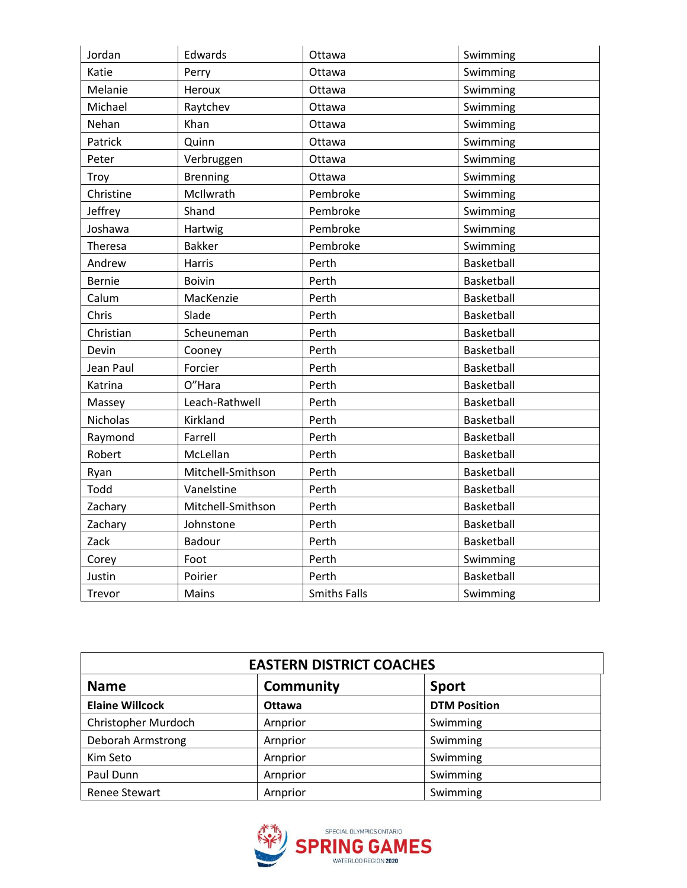| Jordan        | Edwards           | Ottawa              | Swimming   |
|---------------|-------------------|---------------------|------------|
| Katie         | Perry             | Ottawa              | Swimming   |
| Melanie       | Heroux            | Ottawa              | Swimming   |
| Michael       | Raytchev          | Ottawa              | Swimming   |
| Nehan         | Khan              | Ottawa              | Swimming   |
| Patrick       | Quinn             | Ottawa              | Swimming   |
| Peter         | Verbruggen        | Ottawa              | Swimming   |
| Troy          | <b>Brenning</b>   | Ottawa              | Swimming   |
| Christine     | McIlwrath         | Pembroke            | Swimming   |
| Jeffrey       | Shand             | Pembroke            | Swimming   |
| Joshawa       | Hartwig           | Pembroke            | Swimming   |
| Theresa       | <b>Bakker</b>     | Pembroke            | Swimming   |
| Andrew        | <b>Harris</b>     | Perth               | Basketball |
| <b>Bernie</b> | <b>Boivin</b>     | Perth               | Basketball |
| Calum         | MacKenzie         | Perth               | Basketball |
| Chris         | Slade             | Perth               | Basketball |
| Christian     | Scheuneman        | Perth               | Basketball |
| Devin         | Cooney            | Perth               | Basketball |
| Jean Paul     | Forcier           | Perth               | Basketball |
| Katrina       | O"Hara            | Perth               | Basketball |
| Massey        | Leach-Rathwell    | Perth               | Basketball |
| Nicholas      | Kirkland          | Perth               | Basketball |
| Raymond       | Farrell           | Perth               | Basketball |
| Robert        | McLellan          | Perth               | Basketball |
| Ryan          | Mitchell-Smithson | Perth               | Basketball |
| Todd          | Vanelstine        | Perth               | Basketball |
| Zachary       | Mitchell-Smithson | Perth               | Basketball |
| Zachary       | Johnstone         | Perth               | Basketball |
| Zack          | Badour            | Perth               | Basketball |
| Corey         | Foot              | Perth               | Swimming   |
| Justin        | Poirier           | Perth               | Basketball |
| Trevor        | Mains             | <b>Smiths Falls</b> | Swimming   |

| <b>EASTERN DISTRICT COACHES</b> |                  |                     |  |
|---------------------------------|------------------|---------------------|--|
| <b>Name</b>                     | <b>Community</b> | <b>Sport</b>        |  |
| <b>Elaine Willcock</b>          | <b>Ottawa</b>    | <b>DTM Position</b> |  |
| Christopher Murdoch             | Arnprior         | Swimming            |  |
| Deborah Armstrong               | Arnprior         | Swimming            |  |
| Kim Seto                        | Arnprior         | Swimming            |  |
| Paul Dunn                       | Arnprior         | Swimming            |  |
| <b>Renee Stewart</b>            | Arnprior         | Swimming            |  |